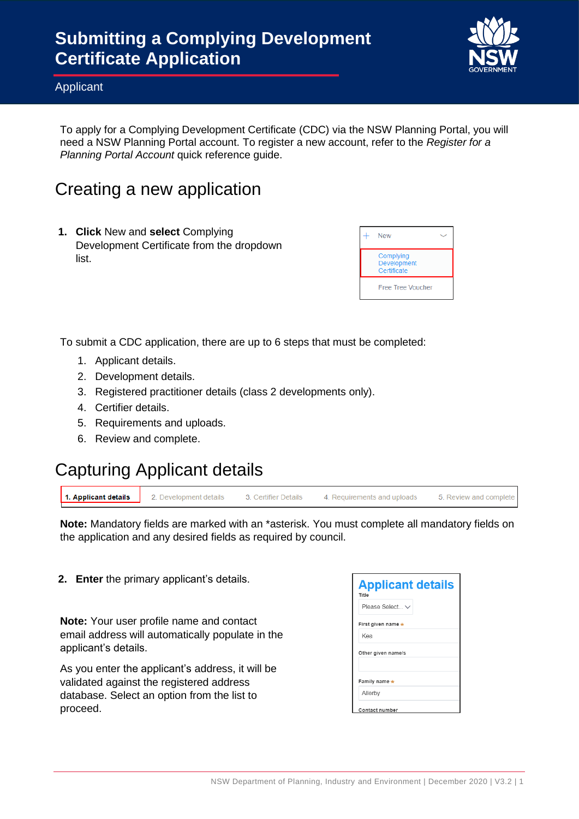

#### Applicant

To apply for a Complying Development Certificate (CDC) via the NSW Planning Portal, you will need a NSW Planning Portal account. To register a new account, refer to the *Register for a Planning Portal Account* quick reference guide.

### Creating a new application

**1. Click** New and **select** Complying Development Certificate from the dropdown list.

| <b>New</b>                              |
|-----------------------------------------|
| Complying<br>Development<br>Certificate |
| <b>Free Tree Voucher</b>                |

To submit a CDC application, there are up to 6 steps that must be completed:

- 1. Applicant details.
- 2. Development details.
- 3. Registered practitioner details (class 2 developments only).
- 4. Certifier details.
- 5. Requirements and uploads.
- 6. Review and complete.

#### Capturing Applicant details

2. Development details

| 1. Applicant details |  |
|----------------------|--|
|----------------------|--|

3. Certifier Details 4. Requirements and uploads 5. Review and complete

**Note:** Mandatory fields are marked with an \*asterisk. You must complete all mandatory fields on the application and any desired fields as required by council.

**2. Enter** the primary applicant's details.

**Note:** Your user profile name and contact email address will automatically populate in the applicant's details.

As you enter the applicant's address, it will be validated against the registered address database. Select an option from the list to proceed.

| <b>Applicant details</b> |  |
|--------------------------|--|
| Title                    |  |
| Please Select $\vee$     |  |
| First given name *       |  |
| Kea                      |  |
| Other given name/s       |  |
| Family name *            |  |
| Allerby                  |  |
| Contact number           |  |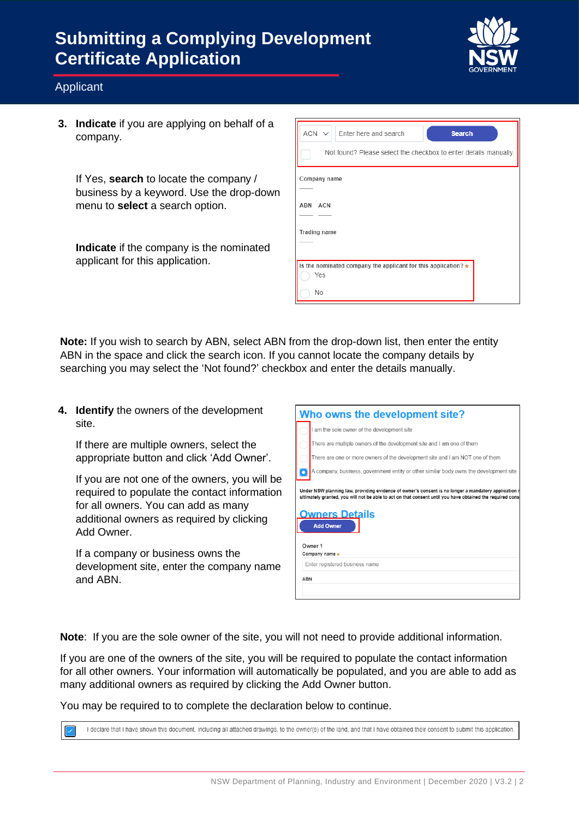

#### Applicant

**3. Indicate** if you are applying on behalf of a company.

If Yes, **search** to locate the company / business by a keyword. Use the drop-down menu to **select** a search option.

**Indicate** if the company is the nominated applicant for this application.

| $ACN \vee$<br>Enter here and search<br><b>Search</b>             |
|------------------------------------------------------------------|
| Not found? Please select the checkbox to enter details manually. |
| Company name                                                     |
| ABN ACN                                                          |
| Trading name                                                     |
| Is the nominated company the applicant for this application? *   |
| Yes<br><b>No</b>                                                 |

**Note:** If you wish to search by ABN, select ABN from the drop-down list, then enter the entity ABN in the space and click the search icon. If you cannot locate the company details by searching you may select the 'Not found?' checkbox and enter the details manually.

**4. Identify** the owners of the development site.

If there are multiple owners, select the appropriate button and click 'Add Owner'.

If you are not one of the owners, you will be required to populate the contact information for all owners. You can add as many additional owners as required by clicking Add Owner.

If a company or business owns the development site, enter the company name and ABN.

| Who owns the development site?                                                                                                                                                                                                                                 |                                                                                        |  |  |
|----------------------------------------------------------------------------------------------------------------------------------------------------------------------------------------------------------------------------------------------------------------|----------------------------------------------------------------------------------------|--|--|
|                                                                                                                                                                                                                                                                | I am the sole owner of the development site                                            |  |  |
|                                                                                                                                                                                                                                                                | There are multiple owners of the development site and I am one of them                 |  |  |
|                                                                                                                                                                                                                                                                | There are one or more owners of the development site and I am NOT one of them          |  |  |
|                                                                                                                                                                                                                                                                | A company, business, government entity or other similar body owns the development site |  |  |
| Under NSW planning law, providing evidence of owner's consent is no longer a mandatory application i<br>ultimately granted, you will not be able to act on that consent until you have obtained the required cons<br><b>Owners Details</b><br><b>Add Owner</b> |                                                                                        |  |  |
|                                                                                                                                                                                                                                                                | Owner 1<br>Company name $\star$                                                        |  |  |
|                                                                                                                                                                                                                                                                | Enter registered business name                                                         |  |  |
| <b>ABN</b>                                                                                                                                                                                                                                                     |                                                                                        |  |  |
|                                                                                                                                                                                                                                                                |                                                                                        |  |  |

**Note**: If you are the sole owner of the site, you will not need to provide additional information.

If you are one of the owners of the site, you will be required to populate the contact information for all other owners. Your information will automatically be populated, and you are able to add as many additional owners as required by clicking the Add Owner button.

You may be required to to complete the declaration below to continue.

I declare that I have shown this document, including all attached drawings, to the owner(s) of the land, and that I have obtained their consent to submit this application.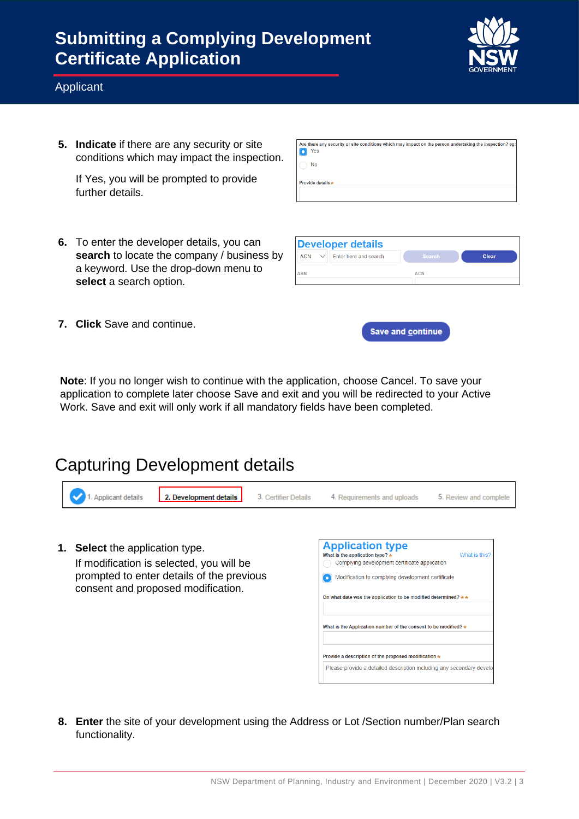

#### Applicant

**5. Indicate** if there are any security or site conditions which may impact the inspection.

If Yes, you will be prompted to provide further details.

**6.** To enter the developer details, you can **search** to locate the company / business by a keyword. Use the drop-down menu to **select** a search option.

| Are there any security or site conditions which may impact on the person undertaking the inspection? eq:<br>Yes |
|-----------------------------------------------------------------------------------------------------------------|
| No                                                                                                              |
| Provide details *                                                                                               |
|                                                                                                                 |

| Developer details                             |               |       |
|-----------------------------------------------|---------------|-------|
| Enter here and search<br><b>ACN</b><br>$\vee$ | <b>Search</b> | Clear |
| ABN                                           | <b>ACN</b>    |       |

**7. Click** Save and continue.



**Note**: If you no longer wish to continue with the application, choose Cancel. To save your application to complete later choose Save and exit and you will be redirected to your Active Work. Save and exit will only work if all mandatory fields have been completed.

#### Capturing Development details

| <b>Applicant details</b><br>2. Development details                                                                                                                | 3. Certifier Details | 4. Requirements and uploads                                                                                                                                                                                                                                      | 5. Review and complete |
|-------------------------------------------------------------------------------------------------------------------------------------------------------------------|----------------------|------------------------------------------------------------------------------------------------------------------------------------------------------------------------------------------------------------------------------------------------------------------|------------------------|
| Select the application type.<br>1.<br>If modification is selected, you will be<br>prompted to enter details of the previous<br>consent and proposed modification. |                      | <b>Application type</b><br>What is the application type? $\star$<br>Complying development certificate application<br>Modification to complying development certificate<br>$\bullet$<br>On what date was the application to be modified determined? $\star \star$ | What is this?          |
|                                                                                                                                                                   |                      | What is the Application number of the consent to be modified? $\star$                                                                                                                                                                                            |                        |
|                                                                                                                                                                   |                      | Provide a description of the proposed modification *                                                                                                                                                                                                             |                        |
|                                                                                                                                                                   |                      | Please provide a detailed description including any secondary develo                                                                                                                                                                                             |                        |

**8. Enter** the site of your development using the Address or Lot /Section number/Plan search functionality.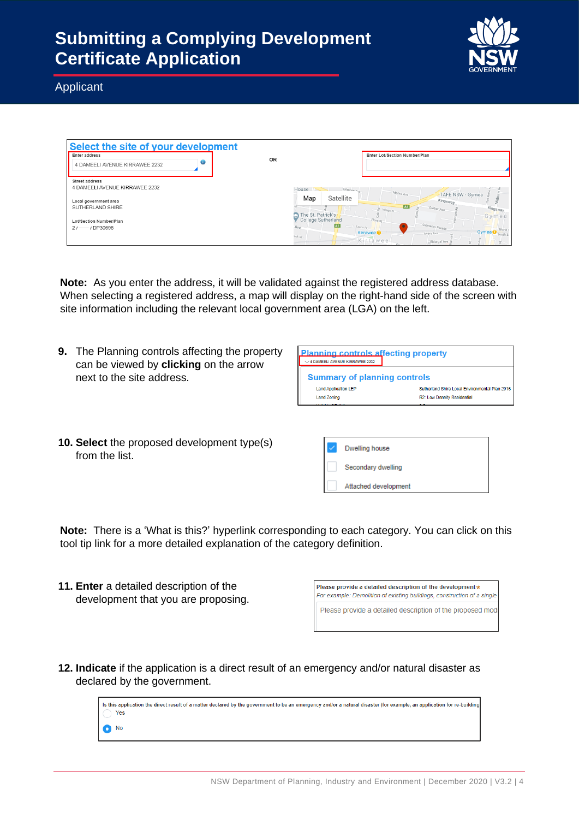

Applicant

| Select the site of your development       |                                         |                                                                       |
|-------------------------------------------|-----------------------------------------|-----------------------------------------------------------------------|
| Enter address                             |                                         | Enter Lot/Section Number/Plan                                         |
| II<br>U<br>4 DAMEELI AVENUE KIRRAWEE 2232 | OR                                      |                                                                       |
| <b>Street address</b>                     |                                         |                                                                       |
| 4 DAMEELI AVENUE KIRRAWEE 2232            | House $\sim$                            | Gilmore 4<br>Monro Ave<br>TAFE NSW - Gymea                            |
| Local government area                     | Map                                     | Satellite<br>- Kingsway                                               |
| SUTHERLAND SHIRE                          |                                         | A <sub>1</sub><br>Kingsway<br>Durbar Ave<br>$\frac{Q}{c}$ Village $p$ |
| Lot/Section Number/Plan                   | The St. Patrick's<br>College Sutherland | Gymea<br>Flora St                                                     |
| $21 - 1$ DP30696                          | Ave                                     | Clements Parade<br>A1<br>Fauna pr<br>North                            |
|                                           | ook Sr                                  | Gymea C South S<br><b>Kirrawee O</b><br>Avery Ave                     |
|                                           |                                         | Kirrawee<br>Bidurgal Ave                                              |

**Note:** As you enter the address, it will be validated against the registered address database. When selecting a registered address, a map will display on the right-hand side of the screen with site information including the relevant local government area (LGA) on the left.

**9.** The Planning controls affecting the property can be viewed by **clicking** on the arrow next to the site address.

| <b>Planning controls affecting property</b><br>$\sim$ 4 DAMEELI AVENUE KIRRAWEE 2232 |                                                |
|--------------------------------------------------------------------------------------|------------------------------------------------|
| <b>Summary of planning controls</b>                                                  |                                                |
| <b>Land Application LEP</b>                                                          | Sutherland Shire Local Environmental Plan 2015 |
| <b>Land Zoning</b>                                                                   | R2: Low Density Residential                    |
| <b>Constitution</b>                                                                  |                                                |

**10. Select** the proposed development type(s) from the list.

| <b>Dwelling house</b> |
|-----------------------|
| Secondary dwelling    |
| Attached development  |

**Note:** There is a 'What is this?' hyperlink corresponding to each category. You can click on this tool tip link for a more detailed explanation of the category definition.

**11. Enter** a detailed description of the development that you are proposing.

| Please provide a detailed description of the development*               |
|-------------------------------------------------------------------------|
| For example: Demolition of existing buildings, construction of a single |
| Please provide a detailed description of the proposed mode              |

**12. Indicate** if the application is a direct result of an emergency and/or natural disaster as declared by the government.

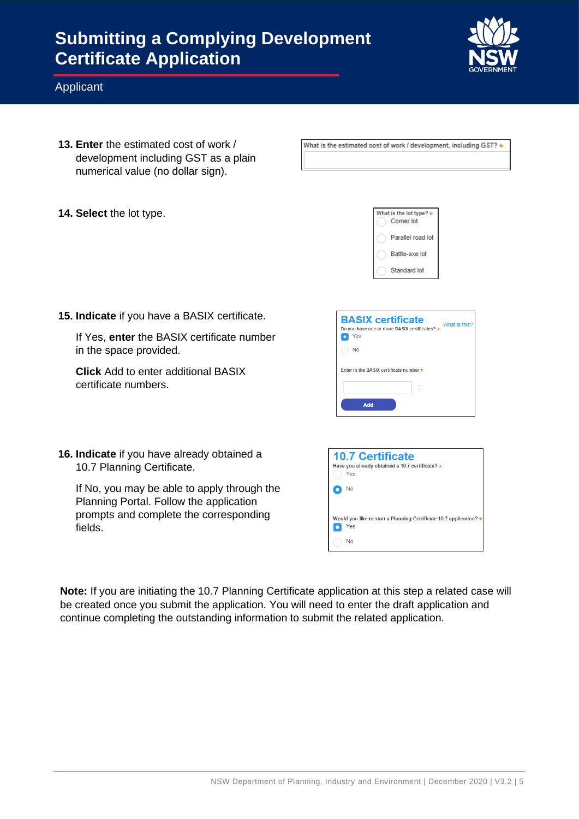

#### Applicant

- **13. Enter** the estimated cost of work / development including GST as a plain numerical value (no dollar sign).
- **14. Select** the lot type.



What is the estimated cost of work / development. including GST? \*

**15. Indicate** if you have a BASIX certificate.

If Yes, **enter** the BASIX certificate number in the space provided.

**Click** Add to enter additional BASIX certificate numbers.

| <b>BASIX certificate</b><br>Do you have one or more BASIX certificates? *<br>Yes | What is this? |
|----------------------------------------------------------------------------------|---------------|
| <b>No</b>                                                                        |               |
| Fnter in the BASIX certificate number *                                          |               |
|                                                                                  |               |
| Add                                                                              |               |

**16. Indicate** if you have already obtained a 10.7 Planning Certificate.

If No, you may be able to apply through the Planning Portal. Follow the application prompts and complete the corresponding fields.

| <b>10.7 Certificate</b><br>Have you already obtained a 10.7 certificate? *<br>Yes<br>No |
|-----------------------------------------------------------------------------------------|
| Would you like to start a Planning Certificate 10.7 application? *<br>Yes               |
| No                                                                                      |

**Note:** If you are initiating the 10.7 Planning Certificate application at this step a related case will be created once you submit the application. You will need to enter the draft application and continue completing the outstanding information to submit the related application.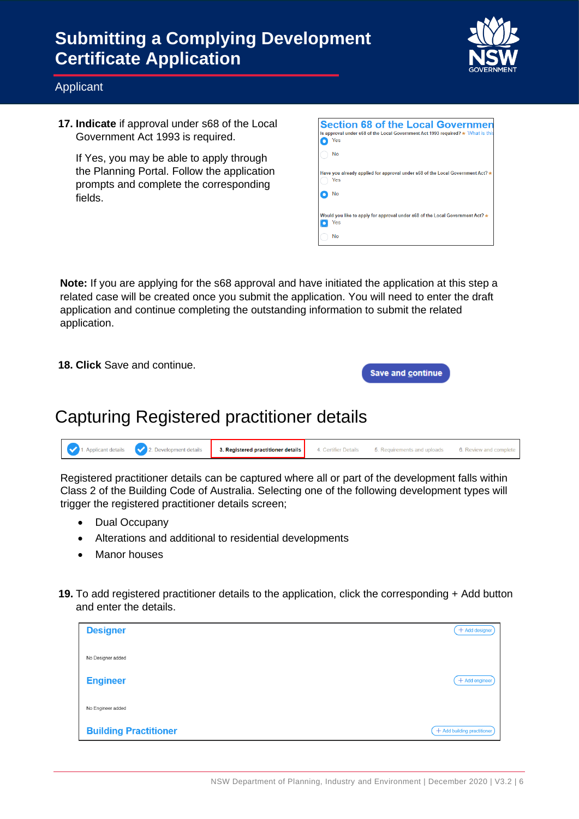

#### Applicant

**17. Indicate** if approval under s68 of the Local Government Act 1993 is required.

If Yes, you may be able to apply through the Planning Portal. Follow the application prompts and complete the corresponding fields.

| <b>Section 68 of the Local Governmen</b>                                              |
|---------------------------------------------------------------------------------------|
| Is approval under s68 of the Local Government Act 1993 required? * What is this       |
| Yes                                                                                   |
| No                                                                                    |
|                                                                                       |
| Have you already applied for approval under s68 of the Local Government Act? v<br>Yes |
| No                                                                                    |
|                                                                                       |
| Would you like to apply for approval under s68 of the Local Government Act? *         |
| Yes                                                                                   |
| No                                                                                    |
|                                                                                       |

**Note:** If you are applying for the s68 approval and have initiated the application at this step a related case will be created once you submit the application. You will need to enter the draft application and continue completing the outstanding information to submit the related application.

**18. Click** Save and continue.

Save and continue

### Capturing Registered practitioner details

| 3. Registered practitioner details<br>, details<br>⊃⊽vel0bment det‴<br>Applicant detail: | oags<br>хеукку ано- |
|------------------------------------------------------------------------------------------|---------------------|
|------------------------------------------------------------------------------------------|---------------------|

Registered practitioner details can be captured where all or part of the development falls within Class 2 of the Building Code of Australia. Selecting one of the following development types will trigger the registered practitioner details screen;

- Dual Occupany
- Alterations and additional to residential developments
- Manor houses
- **19.** To add registered practitioner details to the application, click the corresponding + Add button and enter the details.

| <b>Designer</b>              | + Add designer              |
|------------------------------|-----------------------------|
| No Designer added            |                             |
| <b>Engineer</b>              | $+$ Add engineer            |
| No Engineer added            |                             |
| <b>Building Practitioner</b> | + Add building practitioner |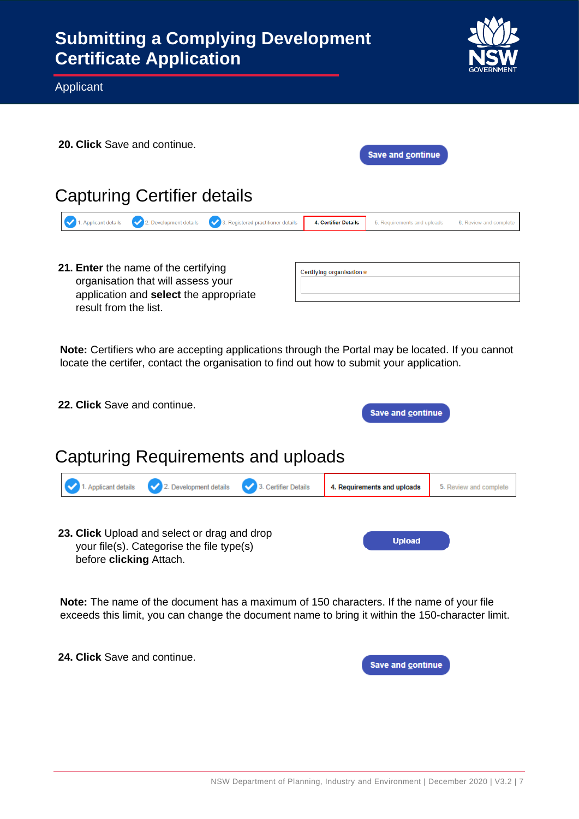

Applicant

| <b>20. Click</b> Save and continue.                                                                                                           |                             | Save and continue           |                        |
|-----------------------------------------------------------------------------------------------------------------------------------------------|-----------------------------|-----------------------------|------------------------|
| Capturing Certifier details                                                                                                                   |                             |                             |                        |
| 2. Development details<br><b>Applicant details</b><br>✓<br>3. Registered practitioner details                                                 | <b>4. Certifier Details</b> | 5. Requirements and uploads | 6. Review and complete |
| 21. Enter the name of the certifying<br>organisation that will assess your<br>application and select the appropriate<br>result from the list. | Certifying organisation*    |                             |                        |

**Note:** Certifiers who are accepting applications through the Portal may be located. If you cannot locate the certifer, contact the organisation to find out how to submit your application.

| <b>22. Click</b> Save and continue.<br><b>Save and continue</b> |                                                                                |  |                             |                        |
|-----------------------------------------------------------------|--------------------------------------------------------------------------------|--|-----------------------------|------------------------|
|                                                                 | Capturing Requirements and uploads                                             |  |                             |                        |
|                                                                 | 1. Applicant details $\vee$ 2. Development details $\vee$ 3. Certifier Details |  | 4. Requirements and uploads | 5. Review and complete |
|                                                                 |                                                                                |  |                             |                        |

**23. Click** Upload and select or drag and drop your file(s). Categorise the file type(s) before **clicking** Attach.

**Note:** The name of the document has a maximum of 150 characters. If the name of your file exceeds this limit, you can change the document name to bring it within the 150-character limit.

**24. Click** Save and continue.

Save and continue

**Upload**